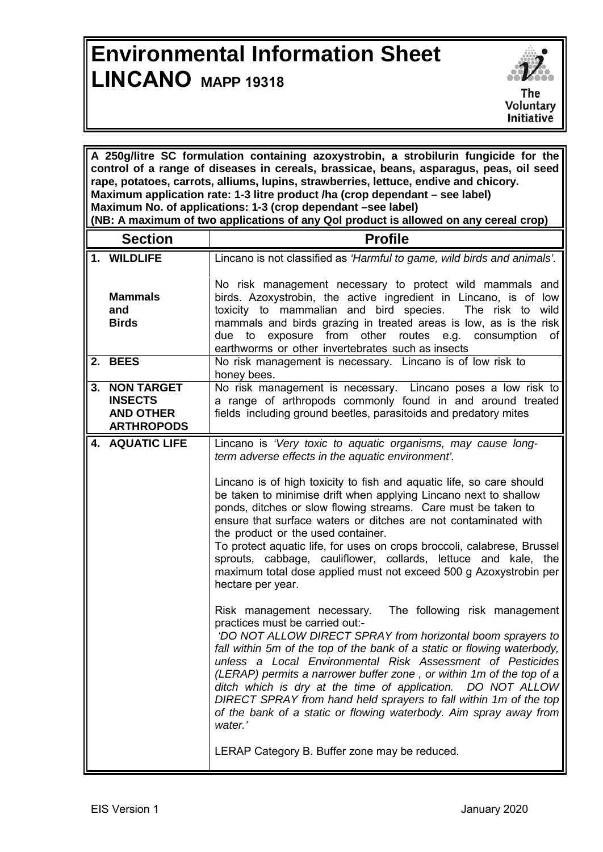## **Environmental Information Sheet LINCANO MAPP <sup>19318</sup>**



| A 250g/litre SC formulation containing azoxystrobin, a strobilurin fungicide for the<br>control of a range of diseases in cereals, brassicae, beans, asparagus, peas, oil seed<br>rape, potatoes, carrots, alliums, lupins, strawberries, lettuce, endive and chicory.<br>Maximum application rate: 1-3 litre product /ha (crop dependant – see label)<br>Maximum No. of applications: 1-3 (crop dependant -see label)<br>(NB: A maximum of two applications of any Qol product is allowed on any cereal crop) |                                                                          |                                                                                                                                                                                                                                                                                                                                                                                                                                                                                                                                                                                                                                                                                                                                                                                                                                                                                                                                                                                                                                                                                                                                                                                                                                                                                                                                       |  |
|----------------------------------------------------------------------------------------------------------------------------------------------------------------------------------------------------------------------------------------------------------------------------------------------------------------------------------------------------------------------------------------------------------------------------------------------------------------------------------------------------------------|--------------------------------------------------------------------------|---------------------------------------------------------------------------------------------------------------------------------------------------------------------------------------------------------------------------------------------------------------------------------------------------------------------------------------------------------------------------------------------------------------------------------------------------------------------------------------------------------------------------------------------------------------------------------------------------------------------------------------------------------------------------------------------------------------------------------------------------------------------------------------------------------------------------------------------------------------------------------------------------------------------------------------------------------------------------------------------------------------------------------------------------------------------------------------------------------------------------------------------------------------------------------------------------------------------------------------------------------------------------------------------------------------------------------------|--|
|                                                                                                                                                                                                                                                                                                                                                                                                                                                                                                                | <b>Section</b>                                                           | <b>Profile</b>                                                                                                                                                                                                                                                                                                                                                                                                                                                                                                                                                                                                                                                                                                                                                                                                                                                                                                                                                                                                                                                                                                                                                                                                                                                                                                                        |  |
|                                                                                                                                                                                                                                                                                                                                                                                                                                                                                                                | 1. WILDLIFE                                                              | Lincano is not classified as 'Harmful to game, wild birds and animals'.                                                                                                                                                                                                                                                                                                                                                                                                                                                                                                                                                                                                                                                                                                                                                                                                                                                                                                                                                                                                                                                                                                                                                                                                                                                               |  |
|                                                                                                                                                                                                                                                                                                                                                                                                                                                                                                                | <b>Mammals</b><br>and<br><b>Birds</b>                                    | No risk management necessary to protect wild mammals and<br>birds. Azoxystrobin, the active ingredient in Lincano, is of low<br>toxicity to mammalian and bird species.<br>The risk to wild<br>mammals and birds grazing in treated areas is low, as is the risk<br>due to exposure from other routes e.g. consumption<br>of<br>earthworms or other invertebrates such as insects                                                                                                                                                                                                                                                                                                                                                                                                                                                                                                                                                                                                                                                                                                                                                                                                                                                                                                                                                     |  |
|                                                                                                                                                                                                                                                                                                                                                                                                                                                                                                                | 2. BEES                                                                  | No risk management is necessary. Lincano is of low risk to<br>honey bees.                                                                                                                                                                                                                                                                                                                                                                                                                                                                                                                                                                                                                                                                                                                                                                                                                                                                                                                                                                                                                                                                                                                                                                                                                                                             |  |
|                                                                                                                                                                                                                                                                                                                                                                                                                                                                                                                | 3. NON TARGET<br><b>INSECTS</b><br><b>AND OTHER</b><br><b>ARTHROPODS</b> | No risk management is necessary. Lincano poses a low risk to<br>a range of arthropods commonly found in and around treated<br>fields including ground beetles, parasitoids and predatory mites                                                                                                                                                                                                                                                                                                                                                                                                                                                                                                                                                                                                                                                                                                                                                                                                                                                                                                                                                                                                                                                                                                                                        |  |
|                                                                                                                                                                                                                                                                                                                                                                                                                                                                                                                | 4. AQUATIC LIFE                                                          | Lincano is 'Very toxic to aquatic organisms, may cause long-<br>term adverse effects in the aquatic environment'.<br>Lincano is of high toxicity to fish and aquatic life, so care should<br>be taken to minimise drift when applying Lincano next to shallow<br>ponds, ditches or slow flowing streams. Care must be taken to<br>ensure that surface waters or ditches are not contaminated with<br>the product or the used container.<br>To protect aquatic life, for uses on crops broccoli, calabrese, Brussel<br>sprouts, cabbage, cauliflower, collards, lettuce and kale, the<br>maximum total dose applied must not exceed 500 g Azoxystrobin per<br>hectare per year.<br>The following risk management<br>Risk management necessary.<br>practices must be carried out:-<br>'DO NOT ALLOW DIRECT SPRAY from horizontal boom sprayers to<br>fall within 5m of the top of the bank of a static or flowing waterbody,<br>unless a Local Environmental Risk Assessment of Pesticides<br>(LERAP) permits a narrower buffer zone, or within 1m of the top of a<br>ditch which is dry at the time of application. DO NOT ALLOW<br>DIRECT SPRAY from hand held sprayers to fall within 1m of the top<br>of the bank of a static or flowing waterbody. Aim spray away from<br>water.'<br>LERAP Category B. Buffer zone may be reduced. |  |